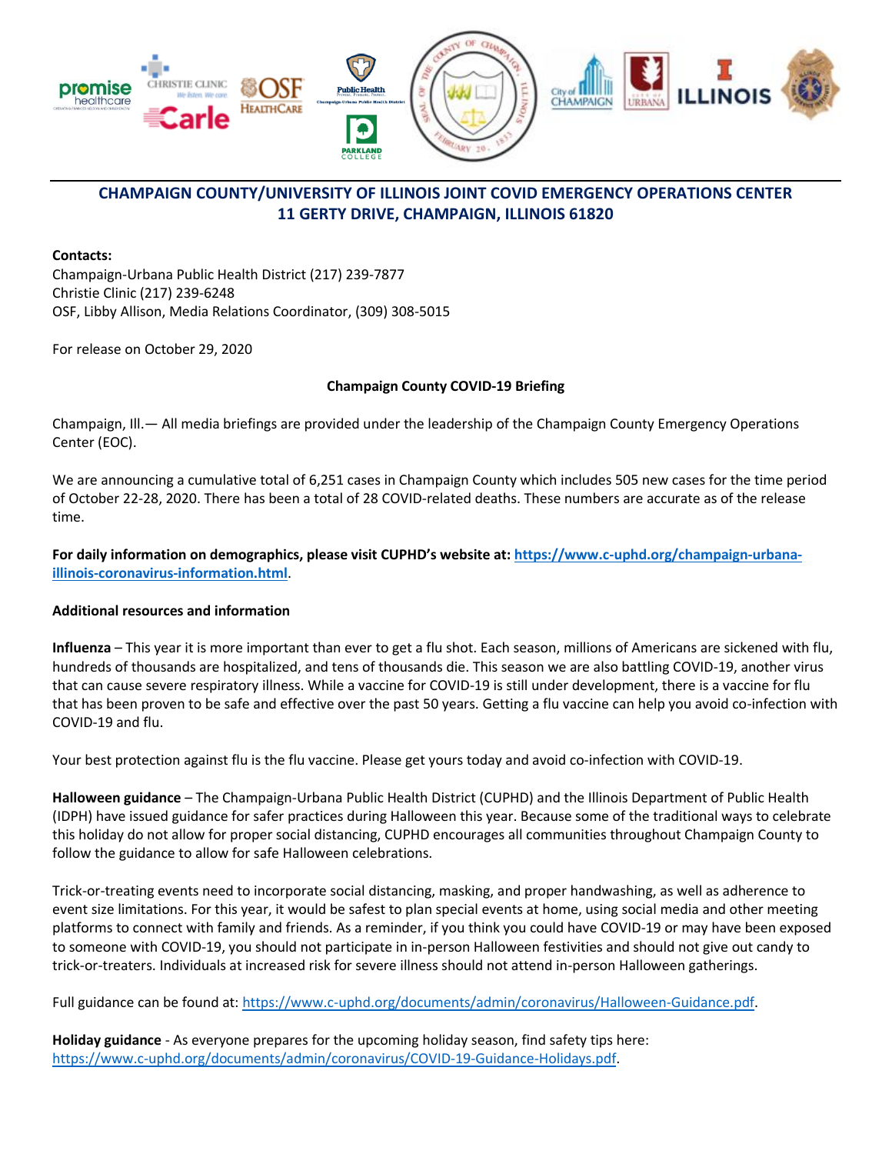

### **Contacts:**

Champaign-Urbana Public Health District (217) 239-7877 Christie Clinic (217) 239-6248 OSF, Libby Allison, Media Relations Coordinator, (309) 308-5015

For release on October 29, 2020

### **Champaign County COVID-19 Briefing**

Champaign, Ill.— All media briefings are provided under the leadership of the Champaign County Emergency Operations Center (EOC).

We are announcing a cumulative total of 6,251 cases in Champaign County which includes 505 new cases for the time period of October 22-28, 2020. There has been a total of 28 COVID-related deaths. These numbers are accurate as of the release time.

## **For daily information on demographics, please visit CUPHD's website at: [https://www.c-uphd.org/champaign-urbana](https://www.c-uphd.org/champaign-urbana-illinois-coronavirus-information.html)[illinois-coronavirus-information.html](https://www.c-uphd.org/champaign-urbana-illinois-coronavirus-information.html)**.

## **Additional resources and information**

**Influenza** – This year it is more important than ever to get a flu shot. Each season, millions of Americans are sickened with flu, hundreds of thousands are hospitalized, and tens of thousands die. This season we are also battling COVID-19, another virus that can cause severe respiratory illness. While a vaccine for COVID-19 is still under development, there is a vaccine for flu that has been proven to be safe and effective over the past 50 years. Getting a flu vaccine can help you avoid co-infection with COVID-19 and flu.

Your best protection against flu is the flu vaccine. Please get yours today and avoid co-infection with COVID-19.

**Halloween guidance** – The Champaign-Urbana Public Health District (CUPHD) and the Illinois Department of Public Health (IDPH) have issued guidance for safer practices during Halloween this year. Because some of the traditional ways to celebrate this holiday do not allow for proper social distancing, CUPHD encourages all communities throughout Champaign County to follow the guidance to allow for safe Halloween celebrations.

Trick-or-treating events need to incorporate social distancing, masking, and proper handwashing, as well as adherence to event size limitations. For this year, it would be safest to plan special events at home, using social media and other meeting platforms to connect with family and friends. As a reminder, if you think you could have COVID-19 or may have been exposed to someone with COVID-19, you should not participate in in-person Halloween festivities and should not give out candy to trick-or-treaters. Individuals at increased risk for severe illness should not attend in-person Halloween gatherings.

Full guidance can be found at: [https://www.c-uphd.org/documents/admin/coronavirus/Halloween-Guidance.pdf.](https://www.c-uphd.org/documents/admin/coronavirus/Halloween-Guidance.pdf)

**Holiday guidance** - As everyone prepares for the upcoming holiday season, find safety tips here: [https://www.c-uphd.org/documents/admin/coronavirus/COVID-19-Guidance-Holidays.pdf.](https://www.c-uphd.org/documents/admin/coronavirus/COVID-19-Guidance-Holidays.pdf)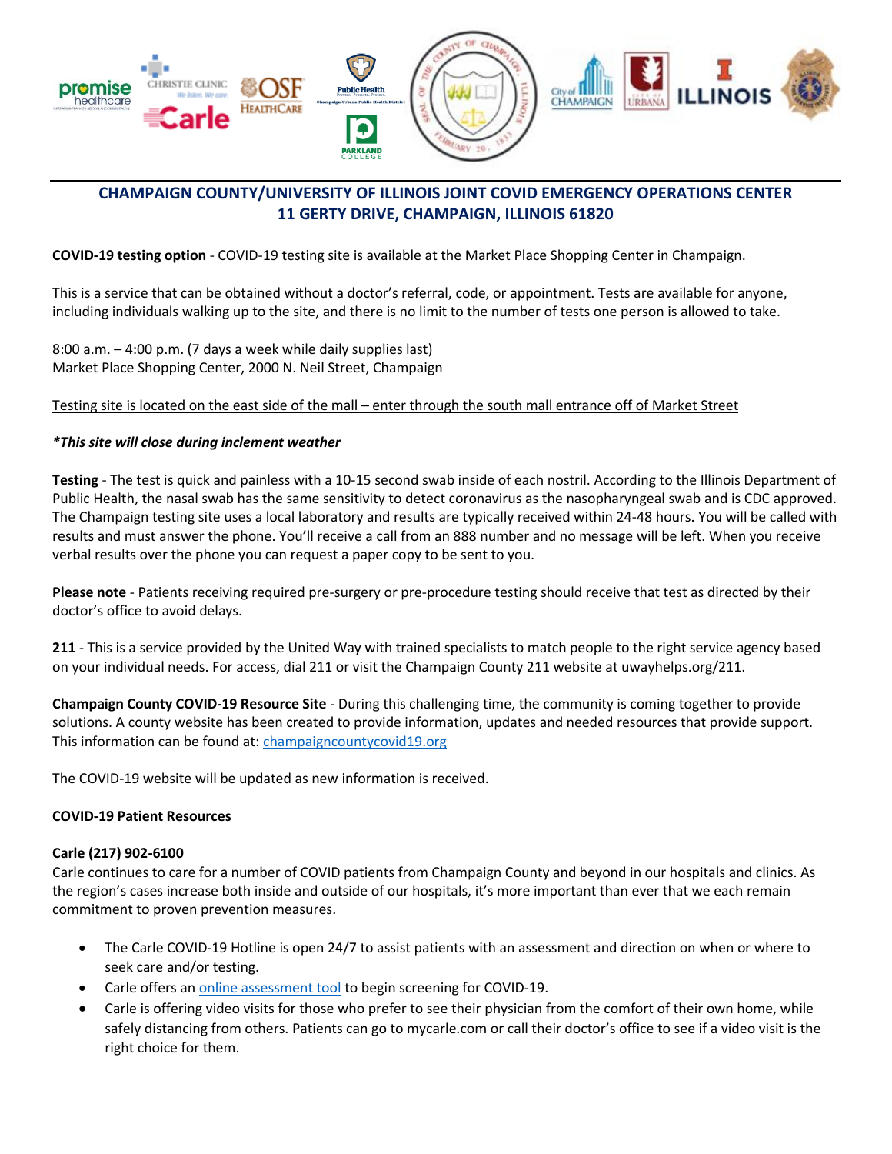

**COVID-19 testing option** - COVID-19 testing site is available at the Market Place Shopping Center in Champaign.

This is a service that can be obtained without a doctor's referral, code, or appointment. Tests are available for anyone, including individuals walking up to the site, and there is no limit to the number of tests one person is allowed to take.

8:00 a.m. – 4:00 p.m. (7 days a week while daily supplies last) Market Place Shopping Center, 2000 N. Neil Street, Champaign

## Testing site is located on the east side of the mall – enter through the south mall entrance off of Market Street

### *\*This site will close during inclement weather*

**Testing** - The test is quick and painless with a 10-15 second swab inside of each nostril. According to the Illinois Department of Public Health, the nasal swab has the same sensitivity to detect coronavirus as the nasopharyngeal swab and is CDC approved. The Champaign testing site uses a local laboratory and results are typically received within 24-48 hours. You will be called with results and must answer the phone. You'll receive a call from an 888 number and no message will be left. When you receive verbal results over the phone you can request a paper copy to be sent to you.

**Please note** - Patients receiving required pre-surgery or pre-procedure testing should receive that test as directed by their doctor's office to avoid delays.

**211** - This is a service provided by the United Way with trained specialists to match people to the right service agency based on your individual needs. For access, dial 211 or visit the Champaign County 211 website at uwayhelps.org/211.

**Champaign County COVID-19 Resource Site** - During this challenging time, the community is coming together to provide solutions. A county website has been created to provide information, updates and needed resources that provide support. This information can be found at[: champaigncountycovid19.org](https://urldefense.proofpoint.com/v2/url?u=https-3A__imsva91-2Dctp.trendmicro.com-3A443_wis_clicktime_v1_query-3Furl-3Dhttp-253a-252f-252fchampaigncountycovid19.org-26umid-3D7613BF08-2DA23F-2D1405-2D9B23-2DBA99E05A7950-26auth-3D093a4b527975060589a391772a3e2db55fc9b3cf-2Defa8044770a22a17e2e2086191c2b60f3888187c&d=DwMGaQ&c=OCIEmEwdEq_aNlsP4fF3gFqSN-E3mlr2t9JcDdfOZag&r=0vJJSxf-B8XHcaUWHFbo7rrtpB50V8Axv_MU4Ir8q_c&m=_b_uhJ5uCEgA-X59-2E5w3TeWZFXMquNfeILDljX688&s=UMP4PwuafH3Ze__Vj6pL2AFxw5s-ppEb4FpK4qEqp_A&e=)

The COVID-19 website will be updated as new information is received.

#### **COVID-19 Patient Resources**

#### **Carle (217) 902-6100**

Carle continues to care for a number of COVID patients from Champaign County and beyond in our hospitals and clinics. As the region's cases increase both inside and outside of our hospitals, it's more important than ever that we each remain commitment to proven prevention measures.

- The Carle COVID-19 Hotline is open 24/7 to assist patients with an assessment and direction on when or where to seek care and/or testing.
- Carle offers a[n online assessment tool](https://carle.org/home/covid-19-screening) to begin screening for COVID-19.
- Carle is offering video visits for those who prefer to see their physician from the comfort of their own home, while safely distancing from others. Patients can go to mycarle.com or call their doctor's office to see if a video visit is the right choice for them.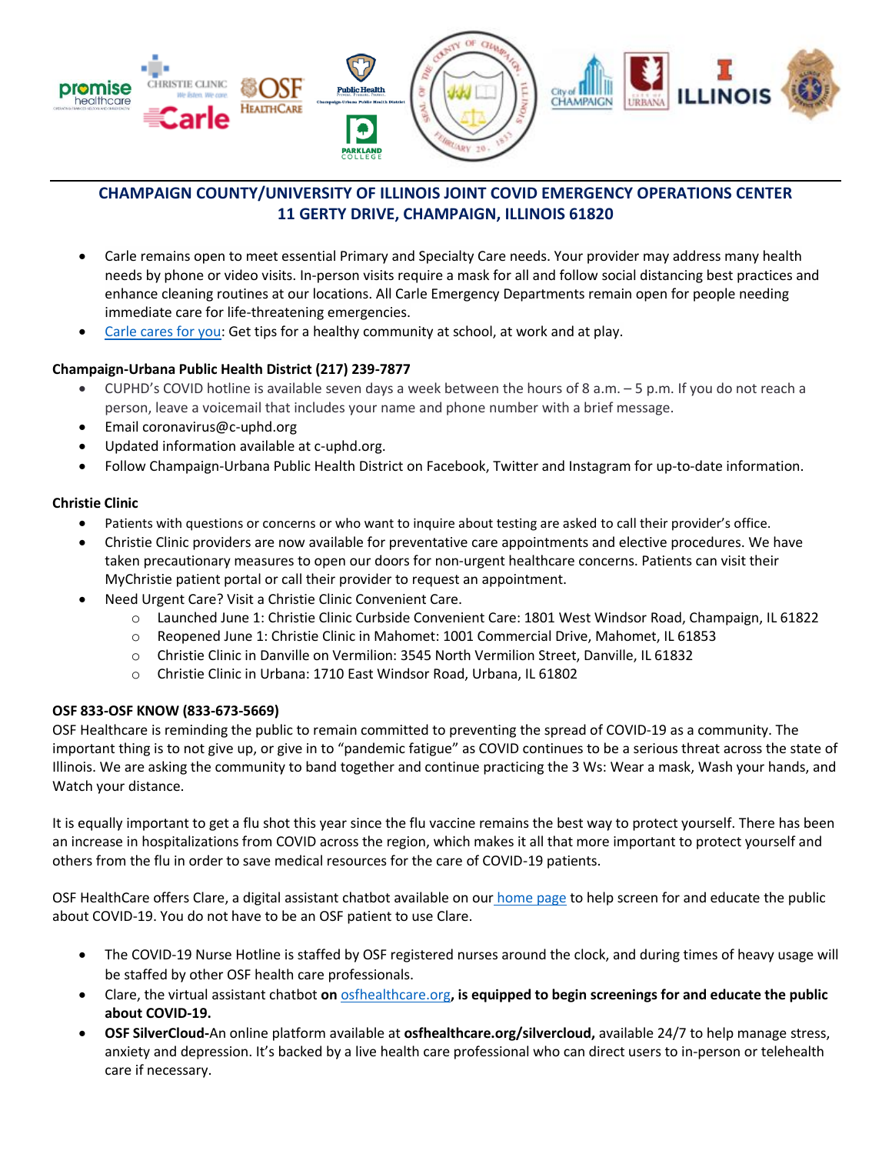

- Carle remains open to meet essential Primary and Specialty Care needs. Your provider may address many health needs by phone or video visits. In-person visits require a mask for all and follow social distancing best practices and enhance cleaning routines at our locations. All Carle Emergency Departments remain open for people needing immediate care for life-threatening emergencies.
- [Carle cares for you:](https://carle.org/Newsroom?tag=covid-19) Get tips for a healthy community at school, at work and at play.

## **Champaign-Urbana Public Health District (217) 239-7877**

- CUPHD's COVID hotline is available seven days a week between the hours of 8 a.m. 5 p.m. If you do not reach a person, leave a voicemail that includes your name and phone number with a brief message.
- Email coronavirus@c-uphd.org
- Updated information available at c-uphd.org.
- Follow Champaign-Urbana Public Health District on Facebook, Twitter and Instagram for up-to-date information.

## **Christie Clinic**

- Patients with questions or concerns or who want to inquire about testing are asked to call their provider's office.
- Christie Clinic providers are now available for preventative care appointments and elective procedures. We have taken precautionary measures to open our doors for non-urgent healthcare concerns. Patients can visit their MyChristie patient portal or call their provider to request an appointment.
- Need Urgent Care? Visit a Christie Clinic Convenient Care.
	- o Launched June 1: Christie Clinic Curbside Convenient Care: 1801 West Windsor Road, Champaign, IL 61822
	- o Reopened June 1: Christie Clinic in Mahomet: 1001 Commercial Drive, Mahomet, IL 61853
	- o Christie Clinic in Danville on Vermilion: 3545 North Vermilion Street, Danville, IL 61832
	- o Christie Clinic in Urbana: 1710 East Windsor Road, Urbana, IL 61802

## **OSF 833-OSF KNOW (833-673-5669)**

OSF Healthcare is reminding the public to remain committed to preventing the spread of COVID-19 as a community. The important thing is to not give up, or give in to "pandemic fatigue" as COVID continues to be a serious threat across the state of Illinois. We are asking the community to band together and continue practicing the 3 Ws: Wear a mask, Wash your hands, and Watch your distance.

It is equally important to get a flu shot this year since the flu vaccine remains the best way to protect yourself. There has been an increase in hospitalizations from COVID across the region, which makes it all that more important to protect yourself and others from the flu in order to save medical resources for the care of COVID-19 patients.

OSF HealthCare offers Clare, a digital assistant chatbot available on our [home page](http://www.osfhealthcare.org/) to help screen for and educate the public about COVID-19. You do not have to be an OSF patient to use Clare.

- The COVID-19 Nurse Hotline is staffed by OSF registered nurses around the clock, and during times of heavy usage will be staffed by other OSF health care professionals.
- Clare, the virtual assistant chatbot **on** [osfhealthcare.org](https://imsva91-ctp.trendmicro.com/wis/clicktime/v1/query?url=https%3a%2f%2fwww.osfhealthcare.org%2fcovid19%2f&umid=DFE883D9-A113-2E05-912A-4855C302FCE3&auth=093a4b527975060589a391772a3e2db55fc9b3cf-083f2afafcbd5a7534107400d3bd443a95c7ae04)**, is equipped to begin screenings for and educate the public about COVID-19.**
- **OSF SilverCloud-**An online platform available at **osfhealthcare.org/silvercloud,** available 24/7 to help manage stress, anxiety and depression. It's backed by a live health care professional who can direct users to in-person or telehealth care if necessary.